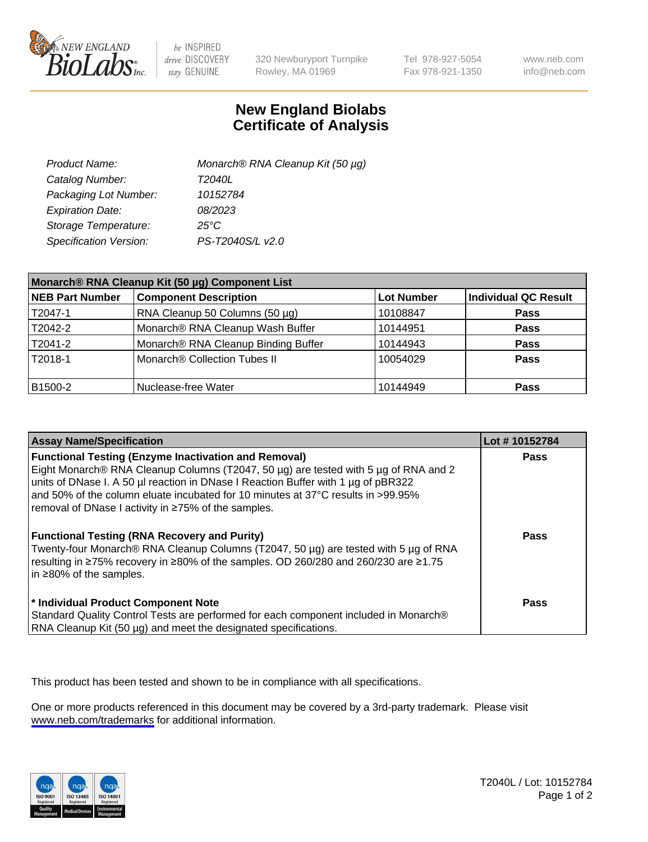

be INSPIRED drive DISCOVERY stay GENUINE

320 Newburyport Turnpike Rowley, MA 01969

Tel 978-927-5054 Fax 978-921-1350

www.neb.com info@neb.com

## **New England Biolabs Certificate of Analysis**

| Product Name:           | Monarch® RNA Cleanup Kit (50 µg) |
|-------------------------|----------------------------------|
| Catalog Number:         | T2040L                           |
| Packaging Lot Number:   | 10152784                         |
| <b>Expiration Date:</b> | 08/2023                          |
| Storage Temperature:    | $25^{\circ}$ C                   |
| Specification Version:  | PS-T2040S/L v2.0                 |

| Monarch® RNA Cleanup Kit (50 µg) Component List |                                     |                   |                      |
|-------------------------------------------------|-------------------------------------|-------------------|----------------------|
| <b>NEB Part Number</b>                          | <b>Component Description</b>        | <b>Lot Number</b> | Individual QC Result |
| T2047-1                                         | RNA Cleanup 50 Columns (50 µg)      | 10108847          | <b>Pass</b>          |
| T2042-2                                         | Monarch® RNA Cleanup Wash Buffer    | 10144951          | <b>Pass</b>          |
| T2041-2                                         | Monarch® RNA Cleanup Binding Buffer | 10144943          | <b>Pass</b>          |
| T2018-1                                         | Monarch® Collection Tubes II        | 10054029          | Pass                 |
| B1500-2                                         | Nuclease-free Water                 | 10144949          | <b>Pass</b>          |

| <b>Assay Name/Specification</b>                                                                                                                                                                                                                                    | Lot #10152784 |
|--------------------------------------------------------------------------------------------------------------------------------------------------------------------------------------------------------------------------------------------------------------------|---------------|
| <b>Functional Testing (Enzyme Inactivation and Removal)</b><br>Eight Monarch® RNA Cleanup Columns (T2047, 50 µg) are tested with 5 µg of RNA and 2<br>units of DNase I. A 50 µl reaction in DNase I Reaction Buffer with 1 µg of pBR322                            | <b>Pass</b>   |
| and 50% of the column eluate incubated for 10 minutes at 37°C results in >99.95%<br>removal of DNase I activity in ≥75% of the samples.                                                                                                                            |               |
| <b>Functional Testing (RNA Recovery and Purity)</b><br>Twenty-four Monarch® RNA Cleanup Columns (T2047, 50 µg) are tested with 5 µg of RNA<br>resulting in ≥75% recovery in ≥80% of the samples. OD 260/280 and 260/230 are ≥1.75<br>in $\geq$ 80% of the samples. | Pass          |
| * Individual Product Component Note<br>Standard Quality Control Tests are performed for each component included in Monarch®<br>RNA Cleanup Kit (50 µg) and meet the designated specifications.                                                                     | Pass          |

This product has been tested and shown to be in compliance with all specifications.

One or more products referenced in this document may be covered by a 3rd-party trademark. Please visit <www.neb.com/trademarks>for additional information.